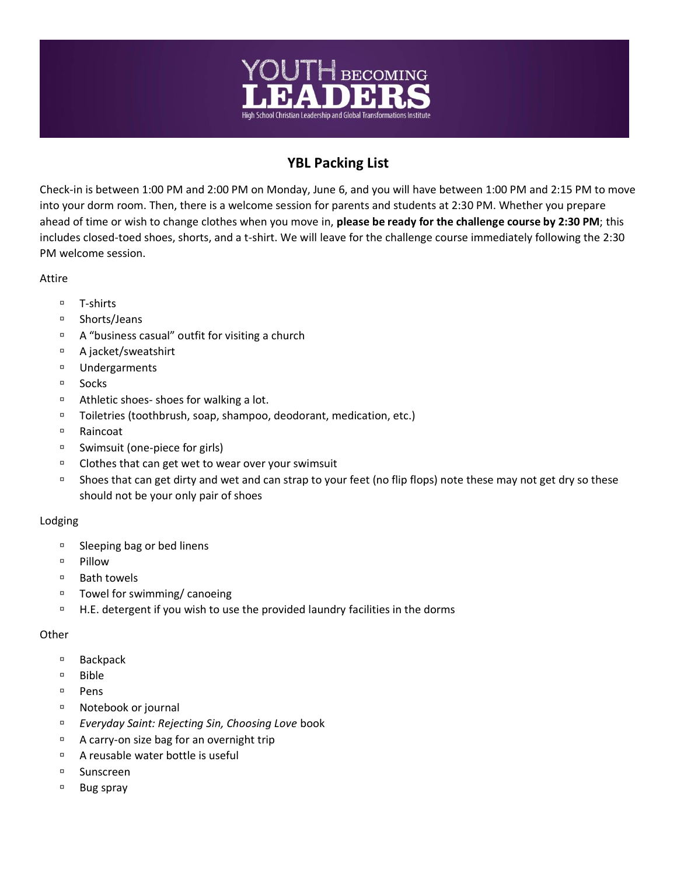

## **YBL Packing List**

Check-in is between 1:00 PM and 2:00 PM on Monday, June 6, and you will have between 1:00 PM and 2:15 PM to move into your dorm room. Then, there is a welcome session for parents and students at 2:30 PM. Whether you prepare ahead of time or wish to change clothes when you move in, **please be ready for the challenge course by 2:30 PM**; this includes closed-toed shoes, shorts, and a t-shirt. We will leave for the challenge course immediately following the 2:30 PM welcome session.

Attire

- □ T-shirts
- □ Shorts/Jeans
- $\Box$  A "business casual" outfit for visiting a church
- A jacket/sweatshirt
- Undergarments
- <sup>D</sup> Socks
- <sup>o</sup> Athletic shoes- shoes for walking a lot.
- □ Toiletries (toothbrush, soap, shampoo, deodorant, medication, etc.)
- Raincoat
- □ Swimsuit (one-piece for girls)
- $\Box$  Clothes that can get wet to wear over your swimsuit
- <sup>n</sup> Shoes that can get dirty and wet and can strap to your feet (no flip flops) note these may not get dry so these should not be your only pair of shoes

## Lodging

- □ Sleeping bag or bed linens
- **Pillow**
- □ Bath towels
- □ Towel for swimming/ canoeing
- H.E. detergent if you wish to use the provided laundry facilities in the dorms

## **Other**

- □ Backpack
- Bible
- <sup>D</sup> Pens
- Notebook or journal
- *Everyday Saint: Rejecting Sin, Choosing Love* book
- <sup>D</sup> A carry-on size bag for an overnight trip
- □ A reusable water bottle is useful
- Sunscreen
- □ Bug spray